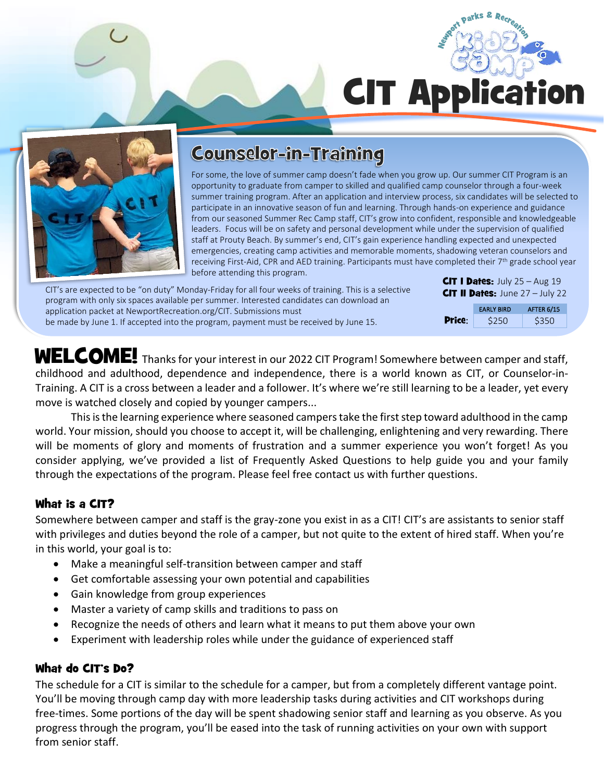parks & CIT Application



# **Counselor-in-Training**

For some, the love of summer camp doesn't fade when you grow up. Our summer CIT Program is an opportunity to graduate from camper to skilled and qualified camp counselor through a four-week summer training program. After an application and interview process, six candidates will be selected to participate in an innovative season of fun and learning. Through hands-on experience and guidance from our seasoned Summer Rec Camp staff, CIT's grow into confident, responsible and knowledgeable leaders. Focus will be on safety and personal development while under the supervision of qualified staff at Prouty Beach. By summer's end, CIT's gain experience handling expected and unexpected emergencies, creating camp activities and memorable moments, shadowing veteran counselors and receiving First-Aid, CPR and AED training. Participants must have completed their 7th grade school year before attending this program.

| CIT's are expected to be "on duty" Monday-Friday for all four weeks of training. This is a selective<br>program with only six spaces available per summer. Interested candidates can download an | <b>CIT I Dates:</b> July 25 – Aug 19<br><b>CIT II Dates:</b> June $27 -$ July 22 |                   |            |
|--------------------------------------------------------------------------------------------------------------------------------------------------------------------------------------------------|----------------------------------------------------------------------------------|-------------------|------------|
| application packet at NewportRecreation.org/CIT. Submissions must                                                                                                                                |                                                                                  | <b>EARLY BIRD</b> | AFTER 6/15 |
| be made by June 1. If accepted into the program, payment must be received by June 15.                                                                                                            | <b>Price:</b>                                                                    | \$250             | \$350      |

WELCOME! Thanks for your interest in our 2022 CIT Program! Somewhere between camper and staff, childhood and adulthood, dependence and independence, there is a world known as CIT, or Counselor-in-Training. A CIT is a cross between a leader and a follower. It's where we're still learning to be a leader, yet every move is watched closely and copied by younger campers...

This is the learning experience where seasoned campers take the first step toward adulthood in the camp world. Your mission, should you choose to accept it, will be challenging, enlightening and very rewarding. There will be moments of glory and moments of frustration and a summer experience you won't forget! As you consider applying, we've provided a list of Frequently Asked Questions to help guide you and your family through the expectations of the program. Please feel free contact us with further questions.

# What is a CIT?

Somewhere between camper and staff is the gray-zone you exist in as a CIT! CIT's are assistants to senior staff with privileges and duties beyond the role of a camper, but not quite to the extent of hired staff. When you're in this world, your goal is to:

- Make a meaningful self-transition between camper and staff
- Get comfortable assessing your own potential and capabilities
- Gain knowledge from group experiences
- Master a variety of camp skills and traditions to pass on
- Recognize the needs of others and learn what it means to put them above your own
- Experiment with leadership roles while under the guidance of experienced staff

#### What do CIT's Do?

The schedule for a CIT is similar to the schedule for a camper, but from a completely different vantage point. You'll be moving through camp day with more leadership tasks during activities and CIT workshops during free-times. Some portions of the day will be spent shadowing senior staff and learning as you observe. As you progress through the program, you'll be eased into the task of running activities on your own with support from senior staff.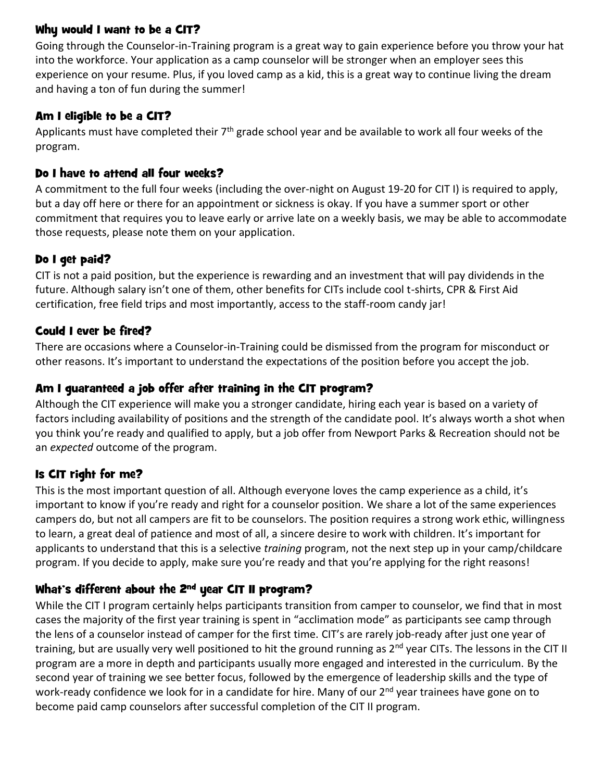### Why would I want to be a CIT?

Going through the Counselor-in-Training program is a great way to gain experience before you throw your hat into the workforce. Your application as a camp counselor will be stronger when an employer sees this experience on your resume. Plus, if you loved camp as a kid, this is a great way to continue living the dream and having a ton of fun during the summer!

### Am I eligible to be a CIT?

Applicants must have completed their  $7<sup>th</sup>$  grade school year and be available to work all four weeks of the program.

## Do I have to attend all four weeks?

A commitment to the full four weeks (including the over-night on August 19-20 for CIT I) is required to apply, but a day off here or there for an appointment or sickness is okay. If you have a summer sport or other commitment that requires you to leave early or arrive late on a weekly basis, we may be able to accommodate those requests, please note them on your application.

# Do I get paid?

CIT is not a paid position, but the experience is rewarding and an investment that will pay dividends in the future. Although salary isn't one of them, other benefits for CITs include cool t-shirts, CPR & First Aid certification, free field trips and most importantly, access to the staff-room candy jar!

### Could I ever be fired?

There are occasions where a Counselor-in-Training could be dismissed from the program for misconduct or other reasons. It's important to understand the expectations of the position before you accept the job.

## Am I guaranteed a job offer after training in the CIT program?

Although the CIT experience will make you a stronger candidate, hiring each year is based on a variety of factors including availability of positions and the strength of the candidate pool. It's always worth a shot when you think you're ready and qualified to apply, but a job offer from Newport Parks & Recreation should not be an *expected* outcome of the program.

# Is CIT right for me?

This is the most important question of all. Although everyone loves the camp experience as a child, it's important to know if you're ready and right for a counselor position. We share a lot of the same experiences campers do, but not all campers are fit to be counselors. The position requires a strong work ethic, willingness to learn, a great deal of patience and most of all, a sincere desire to work with children. It's important for applicants to understand that this is a selective *training* program, not the next step up in your camp/childcare program. If you decide to apply, make sure you're ready and that you're applying for the right reasons!

# What's different about the 2<sup>nd</sup> year CIT II program?

While the CIT I program certainly helps participants transition from camper to counselor, we find that in most cases the majority of the first year training is spent in "acclimation mode" as participants see camp through the lens of a counselor instead of camper for the first time. CIT's are rarely job-ready after just one year of training, but are usually very well positioned to hit the ground running as 2<sup>nd</sup> year CITs. The lessons in the CIT II program are a more in depth and participants usually more engaged and interested in the curriculum. By the second year of training we see better focus, followed by the emergence of leadership skills and the type of work-ready confidence we look for in a candidate for hire. Many of our 2<sup>nd</sup> year trainees have gone on to become paid camp counselors after successful completion of the CIT II program.